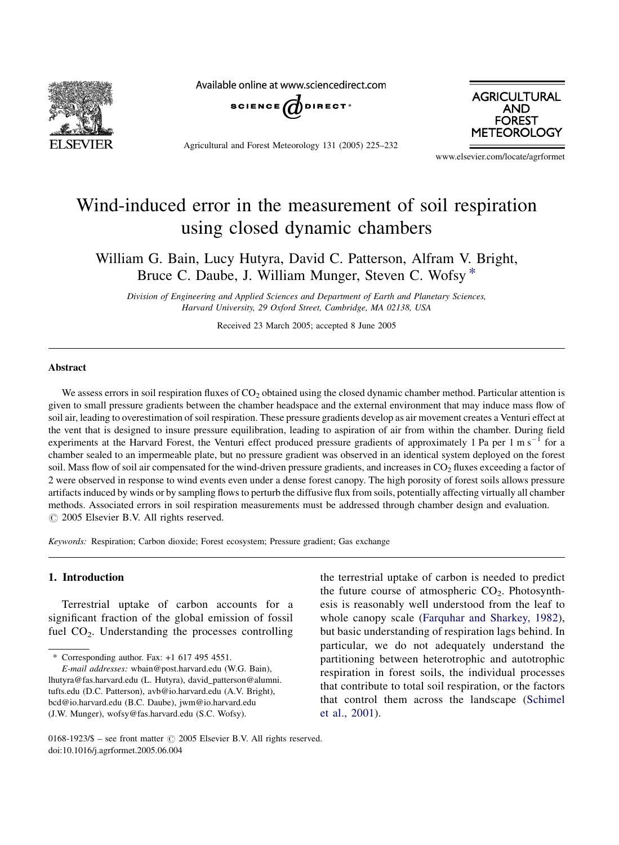

Available online at www.sciencedirect.com



Agricultural and Forest Meteorology 131 (2005) 225–232



www.elsevier.com/locate/agrformet

# Wind-induced error in the measurement of soil respiration using closed dynamic chambers

William G. Bain, Lucy Hutyra, David C. Patterson, Alfram V. Bright, Bruce C. Daube, J. William Munger, Steven C. Wofsy \*

Division of Engineering and Applied Sciences and Department of Earth and Planetary Sciences, Harvard University, 29 Oxford Street, Cambridge, MA 02138, USA

Received 23 March 2005; accepted 8 June 2005

#### Abstract

We assess errors in soil respiration fluxes of  $CO<sub>2</sub>$  obtained using the closed dynamic chamber method. Particular attention is given to small pressure gradients between the chamber headspace and the external environment that may induce mass flow of soil air, leading to overestimation of soil respiration. These pressure gradients develop as air movement creates a Venturi effect at the vent that is designed to insure pressure equilibration, leading to aspiration of air from within the chamber. During field experiments at the Harvard Forest, the Venturi effect produced pressure gradients of approximately 1 Pa per 1 m s<sup>-1</sup> for a chamber sealed to an impermeable plate, but no pressure gradient was observed in an identical system deployed on the forest soil. Mass flow of soil air compensated for the wind-driven pressure gradients, and increases in CO<sub>2</sub> fluxes exceeding a factor of 2 were observed in response to wind events even under a dense forest canopy. The high porosity of forest soils allows pressure artifacts induced by winds or by sampling flows to perturb the diffusive flux from soils, potentially affecting virtually all chamber methods. Associated errors in soil respiration measurements must be addressed through chamber design and evaluation.  $\odot$  2005 Elsevier B.V. All rights reserved.

Keywords: Respiration; Carbon dioxide; Forest ecosystem; Pressure gradient; Gas exchange

# 1. Introduction

Terrestrial uptake of carbon accounts for a significant fraction of the global emission of fossil fuel  $CO<sub>2</sub>$ . Understanding the processes controlling

\* Corresponding author. Fax:  $+1$  617 495 4551.

E-mail addresses: wbain@post.harvard.edu (W.G. Bain), lhutyra@fas.harvard.edu (L. Hutyra), david\_patterson@alumni. tufts.edu (D.C. Patterson), avb@io.harvard.edu (A.V. Bright), bcd@io.harvard.edu (B.C. Daube), jwm@io.harvard.edu (J.W. Munger), wofsy@fas.harvard.edu (S.C. Wofsy).

the terrestrial uptake of carbon is needed to predict the future course of atmospheric  $CO<sub>2</sub>$ . Photosynthesis is reasonably well understood from the leaf to whole canopy scale ([Farquhar and Sharkey, 1982\)](#page-7-0), but basic understanding of respiration lags behind. In particular, we do not adequately understand the partitioning between heterotrophic and autotrophic respiration in forest soils, the individual processes that contribute to total soil respiration, or the factors that control them across the landscape [\(Schimel](#page-7-0) [et al., 2001](#page-7-0)).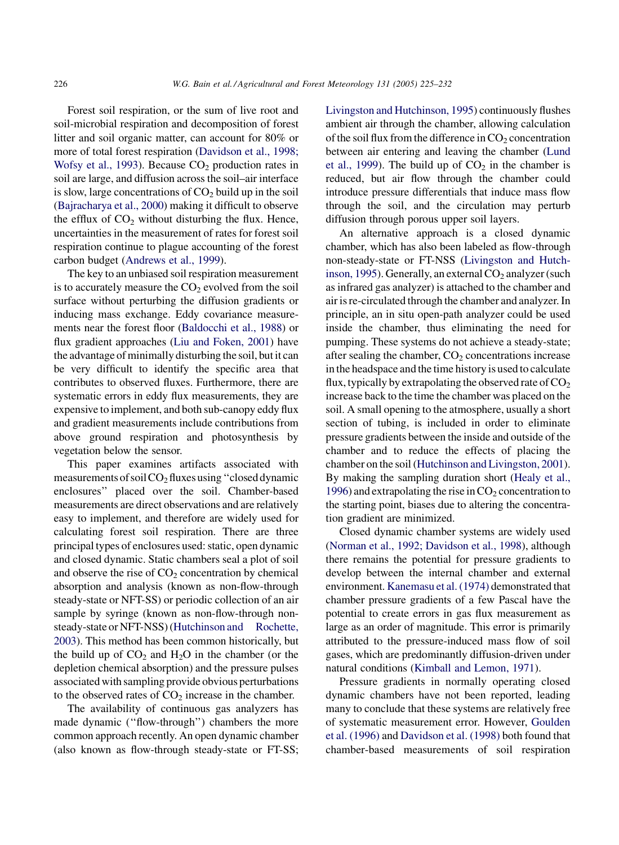Forest soil respiration, or the sum of live root and soil-microbial respiration and decomposition of forest litter and soil organic matter, can account for 80% or more of total forest respiration [\(Davidson et al., 1998;](#page-7-0) [Wofsy et al., 1993](#page-7-0)). Because  $CO<sub>2</sub>$  production rates in soil are large, and diffusion across the soil–air interface is slow, large concentrations of  $CO<sub>2</sub>$  build up in the soil ([Bajracharya et al., 2000\)](#page-7-0) making it difficult to observe the efflux of  $CO<sub>2</sub>$  without disturbing the flux. Hence, uncertainties in the measurement of rates for forest soil respiration continue to plague accounting of the forest carbon budget [\(Andrews et al., 1999\)](#page-7-0).

The key to an unbiased soil respiration measurement is to accurately measure the  $CO<sub>2</sub>$  evolved from the soil surface without perturbing the diffusion gradients or inducing mass exchange. Eddy covariance measurements near the forest floor ([Baldocchi et al., 1988](#page-7-0)) or flux gradient approaches ([Liu and Foken, 2001](#page-7-0)) have the advantage of minimally disturbing the soil, but it can be very difficult to identify the specific area that contributes to observed fluxes. Furthermore, there are systematic errors in eddy flux measurements, they are expensive to implement, and both sub-canopy eddy flux and gradient measurements include contributions from above ground respiration and photosynthesis by vegetation below the sensor.

This paper examines artifacts associated with measurements of soil CO<sub>2</sub> fluxes using "closed dynamic enclosures'' placed over the soil. Chamber-based measurements are direct observations and are relatively easy to implement, and therefore are widely used for calculating forest soil respiration. There are three principal types of enclosures used: static, open dynamic and closed dynamic. Static chambers seal a plot of soil and observe the rise of  $CO<sub>2</sub>$  concentration by chemical absorption and analysis (known as non-flow-through steady-state or NFT-SS) or periodic collection of an air sample by syringe (known as non-flow-through non-steady-state or NFT-NSS) ([Hutchinson and Rochette,](#page-7-0) [2003](#page-7-0)). This method has been common historically, but the build up of  $CO<sub>2</sub>$  and  $H<sub>2</sub>O$  in the chamber (or the depletion chemical absorption) and the pressure pulses associated with sampling provide obvious perturbations to the observed rates of  $CO<sub>2</sub>$  increase in the chamber.

The availability of continuous gas analyzers has made dynamic (''flow-through'') chambers the more common approach recently. An open dynamic chamber (also known as flow-through steady-state or FT-SS; [Livingston and Hutchinson, 1995](#page-7-0)) continuously flushes ambient air through the chamber, allowing calculation of the soil flux from the difference in  $CO<sub>2</sub>$  concentration between air entering and leaving the chamber ([Lund](#page-7-0) [et al., 1999\)](#page-7-0). The build up of  $CO<sub>2</sub>$  in the chamber is reduced, but air flow through the chamber could introduce pressure differentials that induce mass flow through the soil, and the circulation may perturb diffusion through porous upper soil layers.

An alternative approach is a closed dynamic chamber, which has also been labeled as flow-through non-steady-state or FT-NSS [\(Livingston and Hutch](#page-7-0)[inson, 1995\)](#page-7-0). Generally, an external  $CO<sub>2</sub>$  analyzer (such as infrared gas analyzer) is attached to the chamber and air is re-circulated through the chamber and analyzer. In principle, an in situ open-path analyzer could be used inside the chamber, thus eliminating the need for pumping. These systems do not achieve a steady-state; after sealing the chamber,  $CO<sub>2</sub>$  concentrations increase in the headspace and the time history is used to calculate flux, typically by extrapolating the observed rate of  $CO<sub>2</sub>$ increase back to the time the chamber was placed on the soil. A small opening to the atmosphere, usually a short section of tubing, is included in order to eliminate pressure gradients between the inside and outside of the chamber and to reduce the effects of placing the chamber on the soil ([Hutchinson and Livingston, 2001\)](#page-7-0). By making the sampling duration short [\(Healy et al.,](#page-7-0) [1996](#page-7-0)) and extrapolating the rise in  $CO<sub>2</sub>$  concentration to the starting point, biases due to altering the concentration gradient are minimized.

Closed dynamic chamber systems are widely used ([Norman et al., 1992; Davidson et al., 1998\)](#page-7-0), although there remains the potential for pressure gradients to develop between the internal chamber and external environment. [Kanemasu et al. \(1974\)](#page-7-0) demonstrated that chamber pressure gradients of a few Pascal have the potential to create errors in gas flux measurement as large as an order of magnitude. This error is primarily attributed to the pressure-induced mass flow of soil gases, which are predominantly diffusion-driven under natural conditions [\(Kimball and Lemon, 1971](#page-7-0)).

Pressure gradients in normally operating closed dynamic chambers have not been reported, leading many to conclude that these systems are relatively free of systematic measurement error. However, [Goulden](#page-7-0) [et al. \(1996\)](#page-7-0) and [Davidson et al. \(1998\)](#page-7-0) both found that chamber-based measurements of soil respiration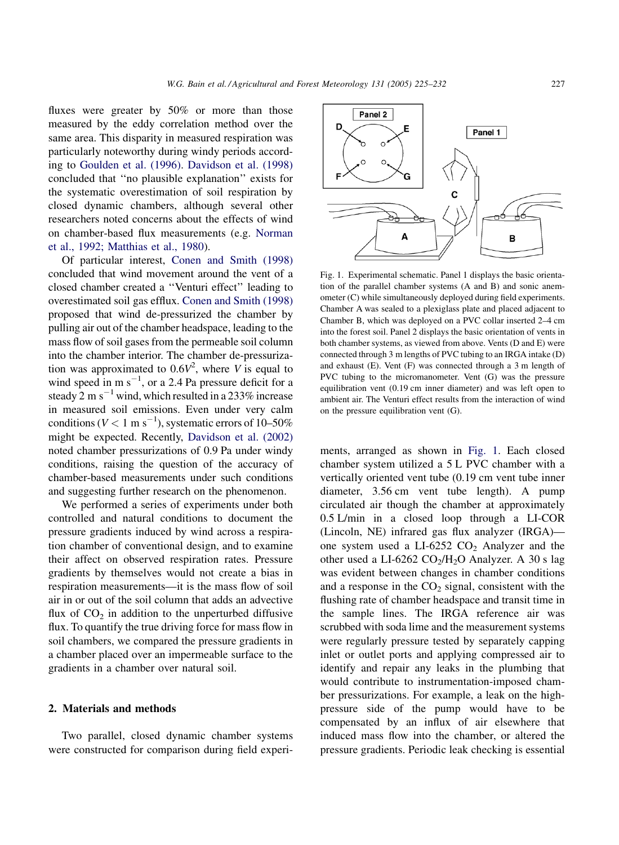<span id="page-2-0"></span>fluxes were greater by 50% or more than those measured by the eddy correlation method over the same area. This disparity in measured respiration was particularly noteworthy during windy periods according to [Goulden et al. \(1996\)](#page-7-0). [Davidson et al. \(1998\)](#page-7-0) concluded that ''no plausible explanation'' exists for the systematic overestimation of soil respiration by closed dynamic chambers, although several other researchers noted concerns about the effects of wind on chamber-based flux measurements (e.g. [Norman](#page-7-0) [et al., 1992; Matthias et al., 1980](#page-7-0)).

Of particular interest, [Conen and Smith \(1998\)](#page-7-0) concluded that wind movement around the vent of a closed chamber created a ''Venturi effect'' leading to overestimated soil gas efflux. [Conen and Smith \(1998\)](#page-7-0) proposed that wind de-pressurized the chamber by pulling air out of the chamber headspace, leading to the mass flow of soil gases from the permeable soil column into the chamber interior. The chamber de-pressurization was approximated to  $0.6V^2$ , where V is equal to wind speed in m  $s^{-1}$ , or a 2.4 Pa pressure deficit for a steady 2 m s<sup> $-1$ </sup> wind, which resulted in a 233% increase in measured soil emissions. Even under very calm conditions ( $V < 1 \text{ m s}^{-1}$ ), systematic errors of 10–50% might be expected. Recently, [Davidson et al. \(2002\)](#page-7-0) noted chamber pressurizations of 0.9 Pa under windy conditions, raising the question of the accuracy of chamber-based measurements under such conditions and suggesting further research on the phenomenon.

We performed a series of experiments under both controlled and natural conditions to document the pressure gradients induced by wind across a respiration chamber of conventional design, and to examine their affect on observed respiration rates. Pressure gradients by themselves would not create a bias in respiration measurements—it is the mass flow of soil air in or out of the soil column that adds an advective flux of  $CO<sub>2</sub>$  in addition to the unperturbed diffusive flux. To quantify the true driving force for mass flow in soil chambers, we compared the pressure gradients in a chamber placed over an impermeable surface to the gradients in a chamber over natural soil.

#### 2. Materials and methods

Two parallel, closed dynamic chamber systems were constructed for comparison during field experi-



Fig. 1. Experimental schematic. Panel 1 displays the basic orientation of the parallel chamber systems (A and B) and sonic anemometer (C) while simultaneously deployed during field experiments. Chamber A was sealed to a plexiglass plate and placed adjacent to Chamber B, which was deployed on a PVC collar inserted 2–4 cm into the forest soil. Panel 2 displays the basic orientation of vents in both chamber systems, as viewed from above. Vents (D and E) were connected through 3 m lengths of PVC tubing to an IRGA intake (D) and exhaust (E). Vent (F) was connected through a 3 m length of PVC tubing to the micromanometer. Vent (G) was the pressure equilibration vent (0.19 cm inner diameter) and was left open to ambient air. The Venturi effect results from the interaction of wind on the pressure equilibration vent (G).

ments, arranged as shown in Fig. 1. Each closed chamber system utilized a 5 L PVC chamber with a vertically oriented vent tube (0.19 cm vent tube inner diameter, 3.56 cm vent tube length). A pump circulated air though the chamber at approximately 0.5 L/min in a closed loop through a LI-COR (Lincoln, NE) infrared gas flux analyzer (IRGA) one system used a LI-6252 CO<sub>2</sub> Analyzer and the other used a LI-6262  $CO<sub>2</sub>/H<sub>2</sub>O$  Analyzer. A 30 s lag was evident between changes in chamber conditions and a response in the  $CO<sub>2</sub>$  signal, consistent with the flushing rate of chamber headspace and transit time in the sample lines. The IRGA reference air was scrubbed with soda lime and the measurement systems were regularly pressure tested by separately capping inlet or outlet ports and applying compressed air to identify and repair any leaks in the plumbing that would contribute to instrumentation-imposed chamber pressurizations. For example, a leak on the highpressure side of the pump would have to be compensated by an influx of air elsewhere that induced mass flow into the chamber, or altered the pressure gradients. Periodic leak checking is essential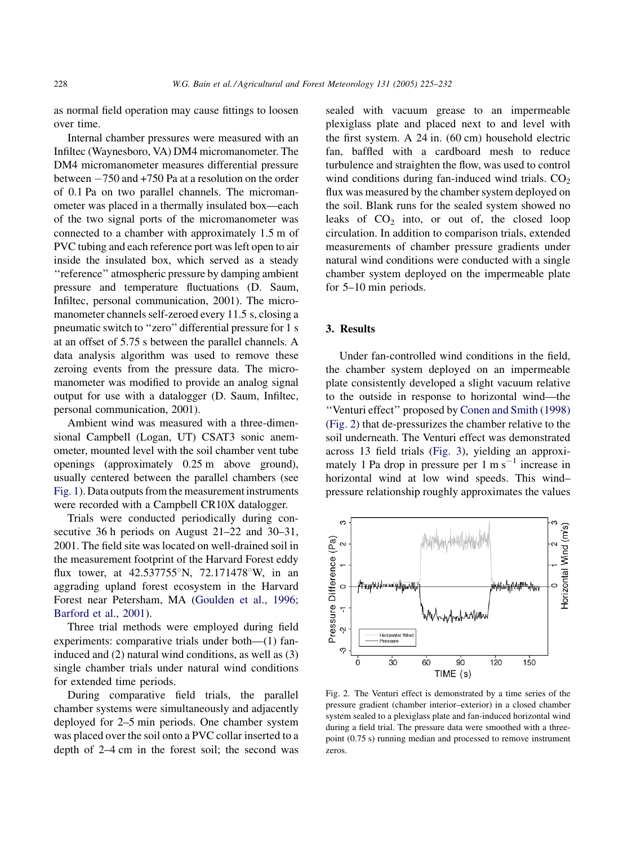<span id="page-3-0"></span>as normal field operation may cause fittings to loosen over time.

Internal chamber pressures were measured with an Infiltec (Waynesboro, VA) DM4 micromanometer. The DM4 micromanometer measures differential pressure between  $-750$  and  $+750$  Pa at a resolution on the order of 0.1 Pa on two parallel channels. The micromanometer was placed in a thermally insulated box—each of the two signal ports of the micromanometer was connected to a chamber with approximately 1.5 m of PVC tubing and each reference port was left open to air inside the insulated box, which served as a steady ''reference'' atmospheric pressure by damping ambient pressure and temperature fluctuations (D. Saum, Infiltec, personal communication, 2001). The micromanometer channels self-zeroed every 11.5 s, closing a pneumatic switch to ''zero'' differential pressure for 1 s at an offset of 5.75 s between the parallel channels. A data analysis algorithm was used to remove these zeroing events from the pressure data. The micromanometer was modified to provide an analog signal output for use with a datalogger (D. Saum, Infiltec, personal communication, 2001).

Ambient wind was measured with a three-dimensional Campbell (Logan, UT) CSAT3 sonic anemometer, mounted level with the soil chamber vent tube openings (approximately 0.25 m above ground), usually centered between the parallel chambers (see [Fig. 1\)](#page-2-0). Data outputs from the measurement instruments were recorded with a Campbell CR10X datalogger.

Trials were conducted periodically during consecutive 36 h periods on August 21–22 and 30–31, 2001. The field site was located on well-drained soil in the measurement footprint of the Harvard Forest eddy flux tower, at  $42.537755^{\circ}N$ ,  $72.171478^{\circ}W$ , in an aggrading upland forest ecosystem in the Harvard Forest near Petersham, MA ([Goulden et al., 1996;](#page-7-0) [Barford et al., 2001](#page-7-0)).

Three trial methods were employed during field experiments: comparative trials under both—(1) faninduced and (2) natural wind conditions, as well as (3) single chamber trials under natural wind conditions for extended time periods.

During comparative field trials, the parallel chamber systems were simultaneously and adjacently deployed for 2–5 min periods. One chamber system was placed over the soil onto a PVC collar inserted to a depth of 2–4 cm in the forest soil; the second was sealed with vacuum grease to an impermeable plexiglass plate and placed next to and level with the first system. A 24 in. (60 cm) household electric fan, baffled with a cardboard mesh to reduce turbulence and straighten the flow, was used to control wind conditions during fan-induced wind trials.  $CO<sub>2</sub>$ flux was measured by the chamber system deployed on the soil. Blank runs for the sealed system showed no leaks of  $CO<sub>2</sub>$  into, or out of, the closed loop circulation. In addition to comparison trials, extended measurements of chamber pressure gradients under natural wind conditions were conducted with a single chamber system deployed on the impermeable plate for 5–10 min periods.

#### 3. Results

Under fan-controlled wind conditions in the field, the chamber system deployed on an impermeable plate consistently developed a slight vacuum relative to the outside in response to horizontal wind—the ''Venturi effect'' proposed by [Conen and Smith \(1998\)](#page-7-0) (Fig. 2) that de-pressurizes the chamber relative to the soil underneath. The Venturi effect was demonstrated across 13 field trials ([Fig. 3](#page-4-0)), yielding an approximately 1 Pa drop in pressure per  $1 \text{ m s}^{-1}$  increase in horizontal wind at low wind speeds. This wind– pressure relationship roughly approximates the values



Fig. 2. The Venturi effect is demonstrated by a time series of the pressure gradient (chamber interior–exterior) in a closed chamber system sealed to a plexiglass plate and fan-induced horizontal wind during a field trial. The pressure data were smoothed with a threepoint (0.75 s) running median and processed to remove instrument zeros.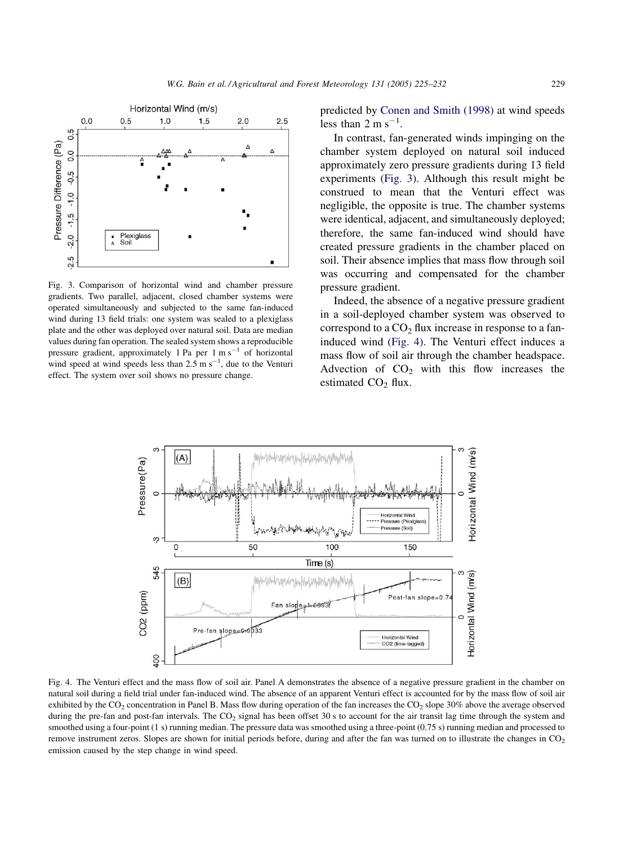<span id="page-4-0"></span>

Fig. 3. Comparison of horizontal wind and chamber pressure gradients. Two parallel, adjacent, closed chamber systems were operated simultaneously and subjected to the same fan-induced wind during 13 field trials: one system was sealed to a plexiglass plate and the other was deployed over natural soil. Data are median values during fan operation. The sealed system shows a reproducible pressure gradient, approximately 1 Pa per 1 m  $s^{-1}$  of horizontal wind speed at wind speeds less than  $2.5 \text{ m s}^{-1}$ , due to the Venturi effect. The system over soil shows no pressure change.

predicted by [Conen and Smith \(1998\)](#page-7-0) at wind speeds less than  $2 \text{ m s}^{-1}$ .

In contrast, fan-generated winds impinging on the chamber system deployed on natural soil induced approximately zero pressure gradients during 13 field experiments (Fig. 3). Although this result might be construed to mean that the Venturi effect was negligible, the opposite is true. The chamber systems were identical, adjacent, and simultaneously deployed; therefore, the same fan-induced wind should have created pressure gradients in the chamber placed on soil. Their absence implies that mass flow through soil was occurring and compensated for the chamber pressure gradient.

Indeed, the absence of a negative pressure gradient in a soil-deployed chamber system was observed to correspond to a  $CO<sub>2</sub>$  flux increase in response to a faninduced wind (Fig. 4). The Venturi effect induces a mass flow of soil air through the chamber headspace. Advection of  $CO<sub>2</sub>$  with this flow increases the estimated  $CO<sub>2</sub>$  flux.



Fig. 4. The Venturi effect and the mass flow of soil air. Panel A demonstrates the absence of a negative pressure gradient in the chamber on natural soil during a field trial under fan-induced wind. The absence of an apparent Venturi effect is accounted for by the mass flow of soil air exhibited by the  $CO_2$  concentration in Panel B. Mass flow during operation of the fan increases the  $CO_2$  slope 30% above the average observed during the pre-fan and post-fan intervals. The CO<sub>2</sub> signal has been offset 30 s to account for the air transit lag time through the system and smoothed using a four-point (1 s) running median. The pressure data was smoothed using a three-point (0.75 s) running median and processed to remove instrument zeros. Slopes are shown for initial periods before, during and after the fan was turned on to illustrate the changes in CO<sub>2</sub> emission caused by the step change in wind speed.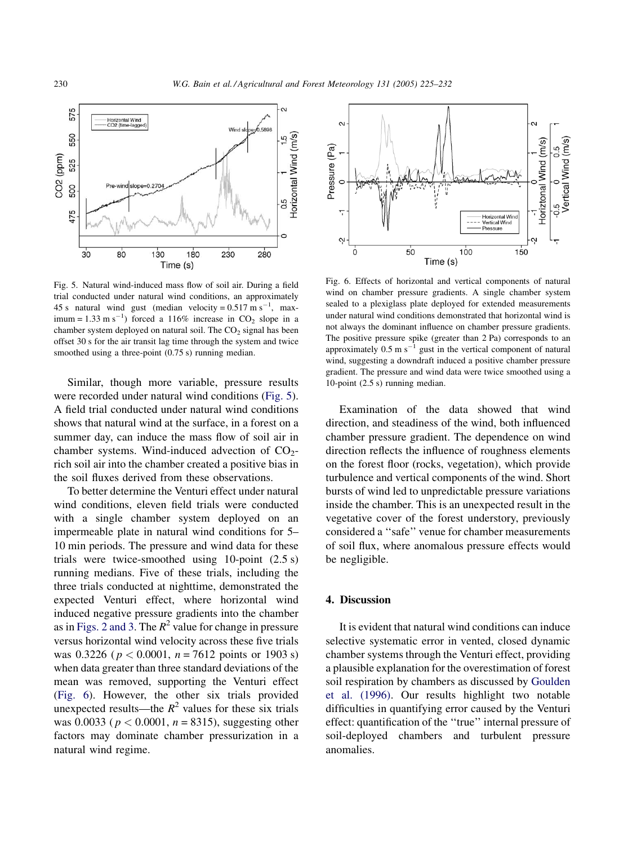

Fig. 5. Natural wind-induced mass flow of soil air. During a field trial conducted under natural wind conditions, an approximately 45 s natural wind gust (median velocity =  $0.517 \text{ m s}^{-1}$ , maximum = 1.33 m s<sup>-1</sup>) forced a 116% increase in CO<sub>2</sub> slope in a chamber system deployed on natural soil. The  $CO<sub>2</sub>$  signal has been offset 30 s for the air transit lag time through the system and twice smoothed using a three-point  $(0.75 s)$  running median.

Similar, though more variable, pressure results were recorded under natural wind conditions (Fig. 5). A field trial conducted under natural wind conditions shows that natural wind at the surface, in a forest on a summer day, can induce the mass flow of soil air in chamber systems. Wind-induced advection of  $CO<sub>2</sub>$ rich soil air into the chamber created a positive bias in the soil fluxes derived from these observations.

To better determine the Venturi effect under natural wind conditions, eleven field trials were conducted with a single chamber system deployed on an impermeable plate in natural wind conditions for 5– 10 min periods. The pressure and wind data for these trials were twice-smoothed using 10-point (2.5 s) running medians. Five of these trials, including the three trials conducted at nighttime, demonstrated the expected Venturi effect, where horizontal wind induced negative pressure gradients into the chamber as in [Figs. 2 and 3.](#page-3-0) The  $R^2$  value for change in pressure versus horizontal wind velocity across these five trials was 0.3226 ( $p < 0.0001$ ,  $n = 7612$  points or 1903 s) when data greater than three standard deviations of the mean was removed, supporting the Venturi effect (Fig. 6). However, the other six trials provided unexpected results—the  $R^2$  values for these six trials was 0.0033 ( $p < 0.0001$ ,  $n = 8315$ ), suggesting other factors may dominate chamber pressurization in a natural wind regime.



Fig. 6. Effects of horizontal and vertical components of natural wind on chamber pressure gradients. A single chamber system sealed to a plexiglass plate deployed for extended measurements under natural wind conditions demonstrated that horizontal wind is not always the dominant influence on chamber pressure gradients. The positive pressure spike (greater than 2 Pa) corresponds to an approximately  $0.5 \text{ m s}^{-1}$  gust in the vertical component of natural wind, suggesting a downdraft induced a positive chamber pressure gradient. The pressure and wind data were twice smoothed using a 10-point (2.5 s) running median.

Examination of the data showed that wind direction, and steadiness of the wind, both influenced chamber pressure gradient. The dependence on wind direction reflects the influence of roughness elements on the forest floor (rocks, vegetation), which provide turbulence and vertical components of the wind. Short bursts of wind led to unpredictable pressure variations inside the chamber. This is an unexpected result in the vegetative cover of the forest understory, previously considered a ''safe'' venue for chamber measurements of soil flux, where anomalous pressure effects would be negligible.

# 4. Discussion

It is evident that natural wind conditions can induce selective systematic error in vented, closed dynamic chamber systems through the Venturi effect, providing a plausible explanation for the overestimation of forest soil respiration by chambers as discussed by [Goulden](#page-7-0) [et al. \(1996\).](#page-7-0) Our results highlight two notable difficulties in quantifying error caused by the Venturi effect: quantification of the ''true'' internal pressure of soil-deployed chambers and turbulent pressure anomalies.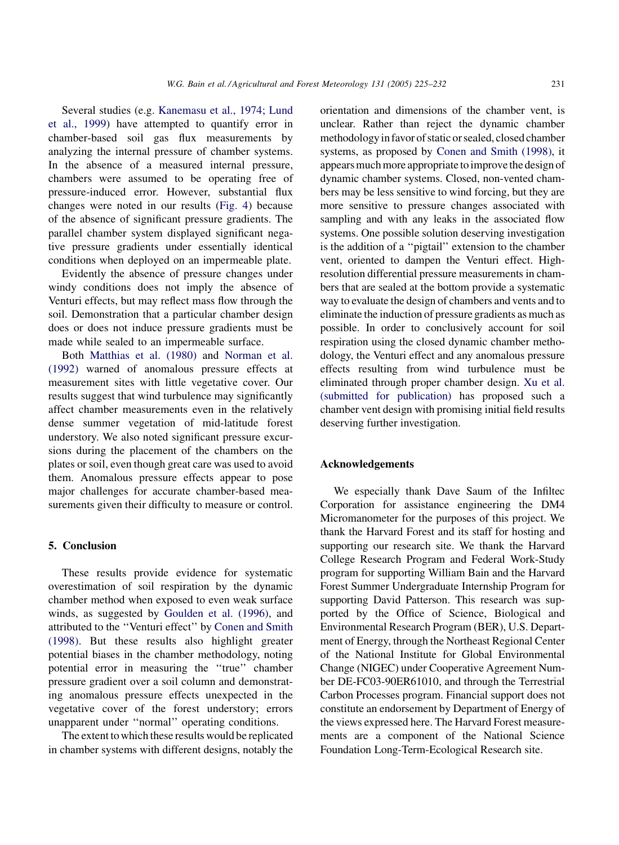Several studies (e.g. [Kanemasu et al., 1974; Lund](#page-7-0) [et al., 1999](#page-7-0)) have attempted to quantify error in chamber-based soil gas flux measurements by analyzing the internal pressure of chamber systems. In the absence of a measured internal pressure, chambers were assumed to be operating free of pressure-induced error. However, substantial flux changes were noted in our results [\(Fig. 4](#page-4-0)) because of the absence of significant pressure gradients. The parallel chamber system displayed significant negative pressure gradients under essentially identical conditions when deployed on an impermeable plate.

Evidently the absence of pressure changes under windy conditions does not imply the absence of Venturi effects, but may reflect mass flow through the soil. Demonstration that a particular chamber design does or does not induce pressure gradients must be made while sealed to an impermeable surface.

Both [Matthias et al. \(1980\)](#page-7-0) and [Norman et al.](#page-7-0) [\(1992\)](#page-7-0) warned of anomalous pressure effects at measurement sites with little vegetative cover. Our results suggest that wind turbulence may significantly affect chamber measurements even in the relatively dense summer vegetation of mid-latitude forest understory. We also noted significant pressure excursions during the placement of the chambers on the plates or soil, even though great care was used to avoid them. Anomalous pressure effects appear to pose major challenges for accurate chamber-based measurements given their difficulty to measure or control.

## 5. Conclusion

These results provide evidence for systematic overestimation of soil respiration by the dynamic chamber method when exposed to even weak surface winds, as suggested by [Goulden et al. \(1996\)](#page-7-0), and attributed to the ''Venturi effect'' by [Conen and Smith](#page-7-0) [\(1998\)](#page-7-0). But these results also highlight greater potential biases in the chamber methodology, noting potential error in measuring the ''true'' chamber pressure gradient over a soil column and demonstrating anomalous pressure effects unexpected in the vegetative cover of the forest understory; errors unapparent under ''normal'' operating conditions.

The extent to which these results would be replicated in chamber systems with different designs, notably the orientation and dimensions of the chamber vent, is unclear. Rather than reject the dynamic chamber methodology in favor of static or sealed, closed chamber systems, as proposed by [Conen and Smith \(1998\)](#page-7-0), it appears much more appropriate to improve the design of dynamic chamber systems. Closed, non-vented chambers may be less sensitive to wind forcing, but they are more sensitive to pressure changes associated with sampling and with any leaks in the associated flow systems. One possible solution deserving investigation is the addition of a ''pigtail'' extension to the chamber vent, oriented to dampen the Venturi effect. Highresolution differential pressure measurements in chambers that are sealed at the bottom provide a systematic way to evaluate the design of chambers and vents and to eliminate the induction of pressure gradients as much as possible. In order to conclusively account for soil respiration using the closed dynamic chamber methodology, the Venturi effect and any anomalous pressure effects resulting from wind turbulence must be eliminated through proper chamber design. [Xu et al.](#page-7-0) [\(submitted for publication\)](#page-7-0) has proposed such a chamber vent design with promising initial field results deserving further investigation.

#### Acknowledgements

We especially thank Dave Saum of the Infiltec Corporation for assistance engineering the DM4 Micromanometer for the purposes of this project. We thank the Harvard Forest and its staff for hosting and supporting our research site. We thank the Harvard College Research Program and Federal Work-Study program for supporting William Bain and the Harvard Forest Summer Undergraduate Internship Program for supporting David Patterson. This research was supported by the Office of Science, Biological and Environmental Research Program (BER), U.S. Department of Energy, through the Northeast Regional Center of the National Institute for Global Environmental Change (NIGEC) under Cooperative Agreement Number DE-FC03-90ER61010, and through the Terrestrial Carbon Processes program. Financial support does not constitute an endorsement by Department of Energy of the views expressed here. The Harvard Forest measurements are a component of the National Science Foundation Long-Term-Ecological Research site.